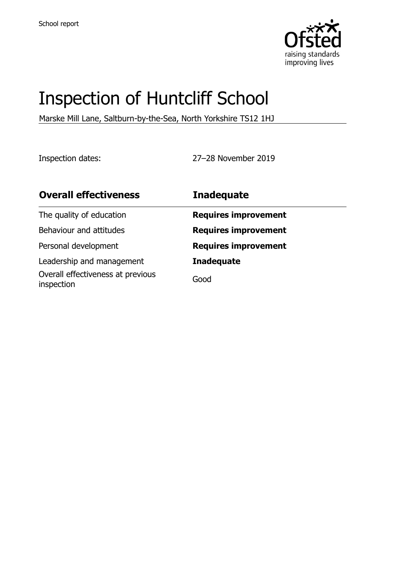

# Inspection of Huntcliff School

Marske Mill Lane, Saltburn-by-the-Sea, North Yorkshire TS12 1HJ

Inspection dates: 27–28 November 2019

| <b>Overall effectiveness</b>                    | <b>Inadequate</b>           |
|-------------------------------------------------|-----------------------------|
| The quality of education                        | <b>Requires improvement</b> |
| Behaviour and attitudes                         | <b>Requires improvement</b> |
| Personal development                            | <b>Requires improvement</b> |
| Leadership and management                       | <b>Inadequate</b>           |
| Overall effectiveness at previous<br>inspection | Good                        |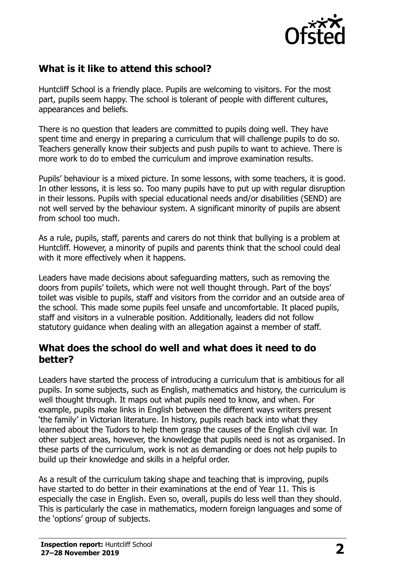

## **What is it like to attend this school?**

Huntcliff School is a friendly place. Pupils are welcoming to visitors. For the most part, pupils seem happy. The school is tolerant of people with different cultures, appearances and beliefs.

There is no question that leaders are committed to pupils doing well. They have spent time and energy in preparing a curriculum that will challenge pupils to do so. Teachers generally know their subjects and push pupils to want to achieve. There is more work to do to embed the curriculum and improve examination results.

Pupils' behaviour is a mixed picture. In some lessons, with some teachers, it is good. In other lessons, it is less so. Too many pupils have to put up with regular disruption in their lessons. Pupils with special educational needs and/or disabilities (SEND) are not well served by the behaviour system. A significant minority of pupils are absent from school too much.

As a rule, pupils, staff, parents and carers do not think that bullying is a problem at Huntcliff. However, a minority of pupils and parents think that the school could deal with it more effectively when it happens.

Leaders have made decisions about safeguarding matters, such as removing the doors from pupils' toilets, which were not well thought through. Part of the boys' toilet was visible to pupils, staff and visitors from the corridor and an outside area of the school. This made some pupils feel unsafe and uncomfortable. It placed pupils, staff and visitors in a vulnerable position. Additionally, leaders did not follow statutory guidance when dealing with an allegation against a member of staff.

#### **What does the school do well and what does it need to do better?**

Leaders have started the process of introducing a curriculum that is ambitious for all pupils. In some subjects, such as English, mathematics and history, the curriculum is well thought through. It maps out what pupils need to know, and when. For example, pupils make links in English between the different ways writers present 'the family' in Victorian literature. In history, pupils reach back into what they learned about the Tudors to help them grasp the causes of the English civil war. In other subject areas, however, the knowledge that pupils need is not as organised. In these parts of the curriculum, work is not as demanding or does not help pupils to build up their knowledge and skills in a helpful order.

As a result of the curriculum taking shape and teaching that is improving, pupils have started to do better in their examinations at the end of Year 11. This is especially the case in English. Even so, overall, pupils do less well than they should. This is particularly the case in mathematics, modern foreign languages and some of the 'options' group of subjects.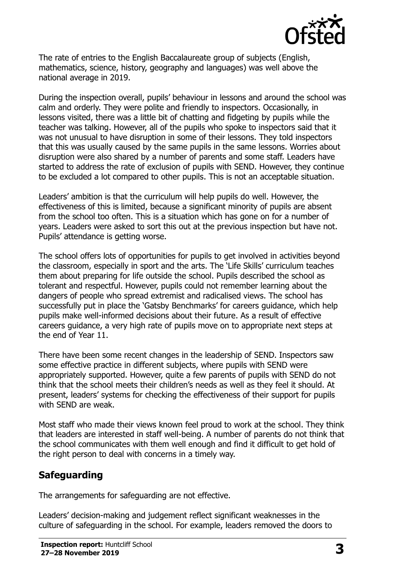

The rate of entries to the English Baccalaureate group of subjects (English, mathematics, science, history, geography and languages) was well above the national average in 2019.

During the inspection overall, pupils' behaviour in lessons and around the school was calm and orderly. They were polite and friendly to inspectors. Occasionally, in lessons visited, there was a little bit of chatting and fidgeting by pupils while the teacher was talking. However, all of the pupils who spoke to inspectors said that it was not unusual to have disruption in some of their lessons. They told inspectors that this was usually caused by the same pupils in the same lessons. Worries about disruption were also shared by a number of parents and some staff. Leaders have started to address the rate of exclusion of pupils with SEND. However, they continue to be excluded a lot compared to other pupils. This is not an acceptable situation.

Leaders' ambition is that the curriculum will help pupils do well. However, the effectiveness of this is limited, because a significant minority of pupils are absent from the school too often. This is a situation which has gone on for a number of years. Leaders were asked to sort this out at the previous inspection but have not. Pupils' attendance is getting worse.

The school offers lots of opportunities for pupils to get involved in activities beyond the classroom, especially in sport and the arts. The 'Life Skills' curriculum teaches them about preparing for life outside the school. Pupils described the school as tolerant and respectful. However, pupils could not remember learning about the dangers of people who spread extremist and radicalised views. The school has successfully put in place the 'Gatsby Benchmarks' for careers guidance, which help pupils make well-informed decisions about their future. As a result of effective careers guidance, a very high rate of pupils move on to appropriate next steps at the end of Year 11.

There have been some recent changes in the leadership of SEND. Inspectors saw some effective practice in different subjects, where pupils with SEND were appropriately supported. However, quite a few parents of pupils with SEND do not think that the school meets their children's needs as well as they feel it should. At present, leaders' systems for checking the effectiveness of their support for pupils with SEND are weak.

Most staff who made their views known feel proud to work at the school. They think that leaders are interested in staff well-being. A number of parents do not think that the school communicates with them well enough and find it difficult to get hold of the right person to deal with concerns in a timely way.

# **Safeguarding**

The arrangements for safeguarding are not effective.

Leaders' decision-making and judgement reflect significant weaknesses in the culture of safeguarding in the school. For example, leaders removed the doors to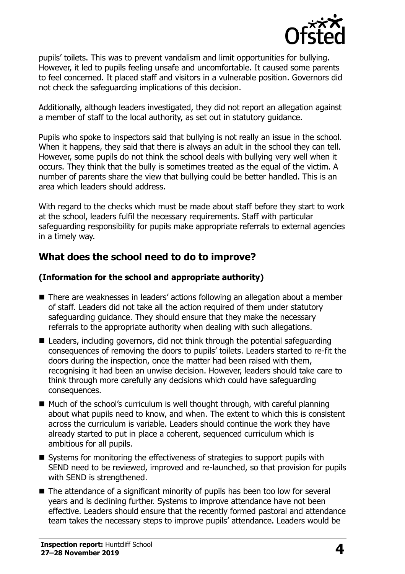

pupils' toilets. This was to prevent vandalism and limit opportunities for bullying. However, it led to pupils feeling unsafe and uncomfortable. It caused some parents to feel concerned. It placed staff and visitors in a vulnerable position. Governors did not check the safeguarding implications of this decision.

Additionally, although leaders investigated, they did not report an allegation against a member of staff to the local authority, as set out in statutory guidance.

Pupils who spoke to inspectors said that bullying is not really an issue in the school. When it happens, they said that there is always an adult in the school they can tell. However, some pupils do not think the school deals with bullying very well when it occurs. They think that the bully is sometimes treated as the equal of the victim. A number of parents share the view that bullying could be better handled. This is an area which leaders should address.

With regard to the checks which must be made about staff before they start to work at the school, leaders fulfil the necessary requirements. Staff with particular safeguarding responsibility for pupils make appropriate referrals to external agencies in a timely way.

#### **What does the school need to do to improve?**

#### **(Information for the school and appropriate authority)**

- There are weaknesses in leaders' actions following an allegation about a member of staff. Leaders did not take all the action required of them under statutory safeguarding guidance. They should ensure that they make the necessary referrals to the appropriate authority when dealing with such allegations.
- Leaders, including governors, did not think through the potential safeguarding consequences of removing the doors to pupils' toilets. Leaders started to re-fit the doors during the inspection, once the matter had been raised with them, recognising it had been an unwise decision. However, leaders should take care to think through more carefully any decisions which could have safeguarding consequences.
- $\blacksquare$  Much of the school's curriculum is well thought through, with careful planning about what pupils need to know, and when. The extent to which this is consistent across the curriculum is variable. Leaders should continue the work they have already started to put in place a coherent, sequenced curriculum which is ambitious for all pupils.
- Systems for monitoring the effectiveness of strategies to support pupils with SEND need to be reviewed, improved and re-launched, so that provision for pupils with SEND is strengthened.
- The attendance of a significant minority of pupils has been too low for several years and is declining further. Systems to improve attendance have not been effective. Leaders should ensure that the recently formed pastoral and attendance team takes the necessary steps to improve pupils' attendance. Leaders would be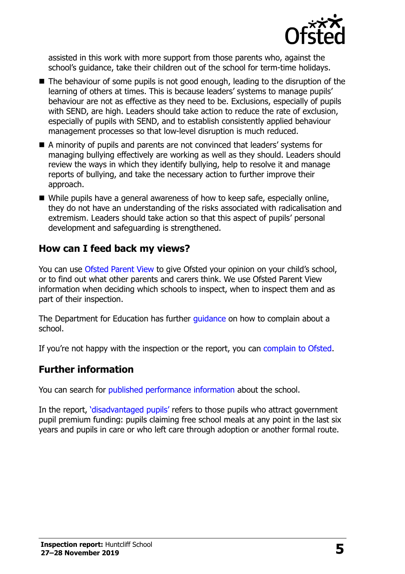

assisted in this work with more support from those parents who, against the school's quidance, take their children out of the school for term-time holidays.

- The behaviour of some pupils is not good enough, leading to the disruption of the learning of others at times. This is because leaders' systems to manage pupils' behaviour are not as effective as they need to be. Exclusions, especially of pupils with SEND, are high. Leaders should take action to reduce the rate of exclusion, especially of pupils with SEND, and to establish consistently applied behaviour management processes so that low-level disruption is much reduced.
- A minority of pupils and parents are not convinced that leaders' systems for managing bullying effectively are working as well as they should. Leaders should review the ways in which they identify bullying, help to resolve it and manage reports of bullying, and take the necessary action to further improve their approach.
- While pupils have a general awareness of how to keep safe, especially online, they do not have an understanding of the risks associated with radicalisation and extremism. Leaders should take action so that this aspect of pupils' personal development and safeguarding is strengthened.

#### **How can I feed back my views?**

You can use [Ofsted Parent View](http://parentview.ofsted.gov.uk/) to give Ofsted your opinion on your child's school, or to find out what other parents and carers think. We use Ofsted Parent View information when deciding which schools to inspect, when to inspect them and as part of their inspection.

The Department for Education has further *quidance* on how to complain about a school.

If you're not happy with the inspection or the report, you can [complain to Ofsted.](http://www.gov.uk/complain-ofsted-report)

#### **Further information**

You can search for [published performance information](http://www.compare-school-performance.service.gov.uk/) about the school.

In the report, '[disadvantaged pupils](http://www.gov.uk/guidance/pupil-premium-information-for-schools-and-alternative-provision-settings)' refers to those pupils who attract government pupil premium funding: pupils claiming free school meals at any point in the last six years and pupils in care or who left care through adoption or another formal route.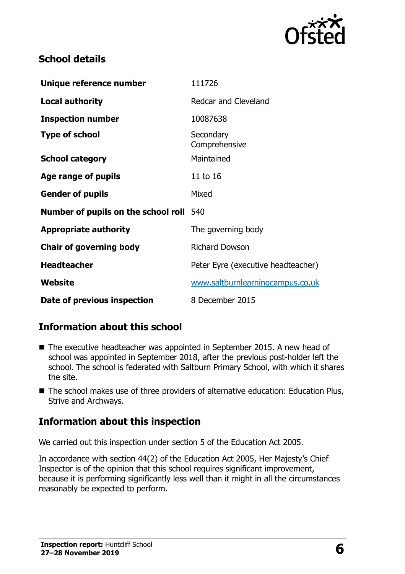

### **School details**

| Unique reference number                        | 111726                             |
|------------------------------------------------|------------------------------------|
| <b>Local authority</b>                         | Redcar and Cleveland               |
| <b>Inspection number</b>                       | 10087638                           |
| <b>Type of school</b>                          | Secondary<br>Comprehensive         |
| <b>School category</b>                         | Maintained                         |
| Age range of pupils                            | 11 to 16                           |
| <b>Gender of pupils</b>                        | Mixed                              |
| <b>Number of pupils on the school roll</b> 540 |                                    |
| <b>Appropriate authority</b>                   | The governing body                 |
| <b>Chair of governing body</b>                 | <b>Richard Dowson</b>              |
| <b>Headteacher</b>                             | Peter Eyre (executive headteacher) |
| Website                                        | www.saltburnlearningcampus.co.uk   |
| Date of previous inspection                    | 8 December 2015                    |

## **Information about this school**

- The executive headteacher was appointed in September 2015. A new head of school was appointed in September 2018, after the previous post-holder left the school. The school is federated with Saltburn Primary School, with which it shares the site.
- The school makes use of three providers of alternative education: Education Plus, Strive and Archways.

## **Information about this inspection**

We carried out this inspection under section 5 of the Education Act 2005.

In accordance with section 44(2) of the Education Act 2005, Her Majesty's Chief Inspector is of the opinion that this school requires significant improvement, because it is performing significantly less well than it might in all the circumstances reasonably be expected to perform.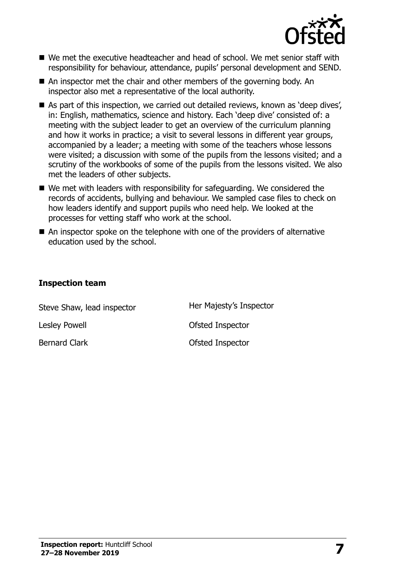

- We met the executive headteacher and head of school. We met senior staff with responsibility for behaviour, attendance, pupils' personal development and SEND.
- An inspector met the chair and other members of the governing body. An inspector also met a representative of the local authority.
- As part of this inspection, we carried out detailed reviews, known as 'deep dives', in: English, mathematics, science and history. Each 'deep dive' consisted of: a meeting with the subject leader to get an overview of the curriculum planning and how it works in practice; a visit to several lessons in different year groups, accompanied by a leader; a meeting with some of the teachers whose lessons were visited; a discussion with some of the pupils from the lessons visited; and a scrutiny of the workbooks of some of the pupils from the lessons visited. We also met the leaders of other subjects.
- We met with leaders with responsibility for safeguarding. We considered the records of accidents, bullying and behaviour. We sampled case files to check on how leaders identify and support pupils who need help. We looked at the processes for vetting staff who work at the school.
- An inspector spoke on the telephone with one of the providers of alternative education used by the school.

#### **Inspection team**

| Steve Shaw, lead inspector | Her Majesty's Inspector |
|----------------------------|-------------------------|
| Lesley Powell              | Ofsted Inspector        |
| <b>Bernard Clark</b>       | Ofsted Inspector        |